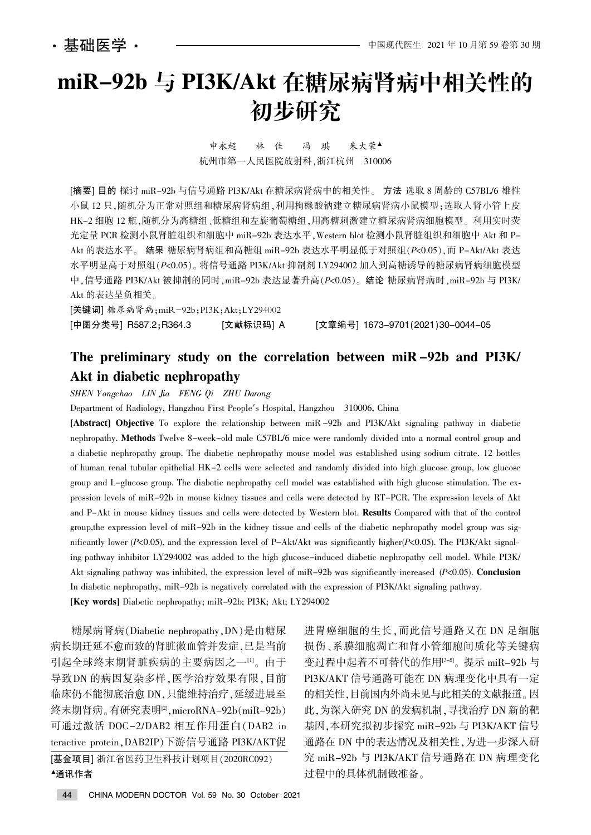# miR-92b 与 PI3K/Akt 在糖尿病肾病中相关性的 初步研究

申永超 林 佳 冯 琪 朱大荣▲ 杭州市第一人民医院放射科,浙江杭州 310006

[摘要] 目的 探讨 miR-92b 与信号通路 PI3K/Akt 在糖尿病肾病中的相关性。 方法 选取 8 周龄的 C57BL/6 雄性 小鼠 12 只,随机分为正常对照组和糖尿病肾病组,利用枸橼酸钠建立糖尿病肾病小鼠模型;选取人肾小管上皮 HK-2 细胞 12 瓶,随机分为高糖组,低糖组和左旋葡萄糖组,用高糖刺激建立糖尿病肾病细胞模型。利用实时荧 光定量 PCR 检测小鼠肾脏组织和细胞中 miR-92b 表达水平, Western blot 检测小鼠肾脏组织和细胞中 Akt 和 P-Akt 的表达水平。结果 糖尿病肾病组和高糖组 miR-92b 表达水平明显低于对照组(P<0.05), 而 P-Akt/Akt 表达 水平明显高于对照组(P<0.05)。将信号通路 PI3K/Akt 抑制剂 LY294002 加入到高糖诱导的糖尿病肾病细胞模型 中,信号通路 PI3K/Akt 被抑制的同时, miR-92b 表达显著升高(P<0.05)。结论 糖尿病肾病时, miR-92b 与 PI3K/ Akt 的表达呈负相关。

[关键词] 糖尿病肾病;miR-92b;PI3K;Akt;LY294002 [中图分类号] R587.2:R364.3 [文献标识码] A [文章编号] 1673-9701(2021)30-0044-05

## The preliminary study on the correlation between miR -92b and PI3K/ Akt in diabetic nephropathy

SHEN Yongchao LIN Jia FENG Qi ZHU Darong

Department of Radiology, Hangzhou First People's Hospital, Hangzhou 310006, China

[Abstract] Objective To explore the relationship between miR -92b and PI3K/Akt signaling pathway in diabetic nephropathy. Methods Twelve 8-week-old male C57BL/6 mice were randomly divided into a normal control group and a diabetic nephropathy group. The diabetic nephropathy mouse model was established using sodium citrate. 12 bottles of human renal tubular epithelial HK-2 cells were selected and randomly divided into high glucose group, low glucose group and L-glucose group. The diabetic nephropathy cell model was established with high glucose stimulation. The expression levels of miR-92b in mouse kidney tissues and cells were detected by RT-PCR. The expression levels of Akt and P-Akt in mouse kidney tissues and cells were detected by Western blot. Results Compared with that of the control group, the expression level of miR-92b in the kidney tissue and cells of the diabetic nephropathy model group was significantly lower (P<0.05), and the expression level of P-Akt/Akt was significantly higher(P<0.05). The PI3K/Akt signaling pathway inhibitor LY294002 was added to the high glucose-induced diabetic nephropathy cell model. While PI3K/ Akt signaling pathway was inhibited, the expression level of miR-92b was significantly increased ( $P<0.05$ ). **Conclusion** In diabetic nephropathy, miR-92b is negatively correlated with the expression of PI3K/Akt signaling pathway. [Key words] Diabetic nephropathy; miR-92b; PI3K; Akt; LY294002

糖尿病肾病(Diabetic nephropathy,DN)是由糖尿 病长期迁延不愈而致的肾脏微血管并发症,已是当前 引起全球终末期肾脏疾病的主要病因之一[1]。由于 导致DN 的病因复杂多样, 医学治疗效果有限, 目前 临床仍不能彻底治愈 DN,只能维持治疗,延缓进展至 终末期肾病。有研究表明<sup>[2]</sup>, microRNA-92b(miR-92b) 可通过激活 DOC-2/DAB2 相互作用蛋白(DAB2 in teractive protein, DAB2IP)下游信号通路 PI3K/AKT促

[基金项目] 浙江省医药卫生科技计划项目(2020RC092) <sup>银</sup>通讯作者

进胃癌细胞的生长, 而此信号通路又在 DN 足细胞 损伤、系膜细胞凋亡和肾小管细胞间质化等关键病 变过程中起着不可替代的作用[3-5]。提示 miR-92b 与 PI3K/AKT 信号通路可能在 DN 病理变化中具有一定 的相关性,目前国内外尚未见与此相关的文献报道。因 此,为深入研究 DN 的发病机制,寻找治疗 DN 新的靶 基因,本研究拟初步探究 miR-92b 与 PI3K/AKT 信号 通路在 DN 中的表达情况及相关性,为进一步深入研 究 miR-92b 与 PI3K/AKT 信号通路在 DN 病理变化 过程中的具体机制做准备。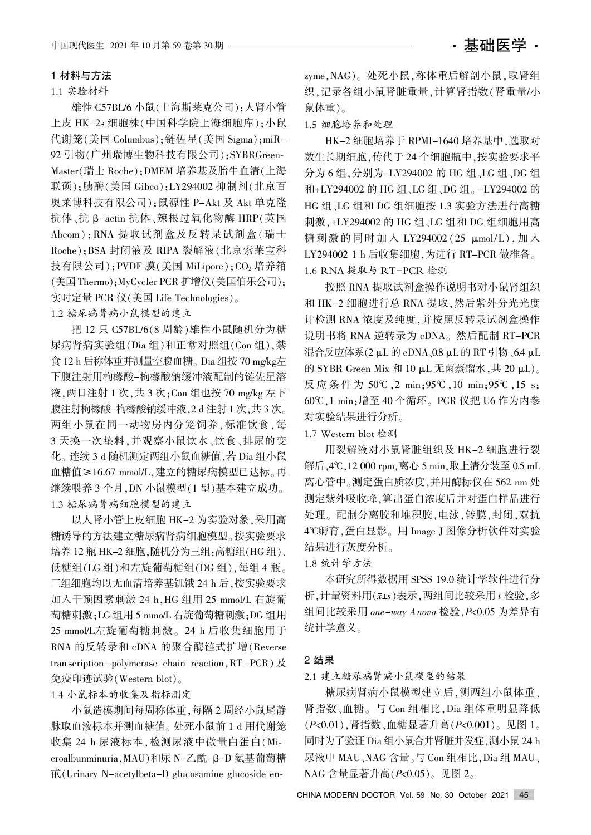#### 1.1 实验材料

雄性 C57BL/6 小鼠(上海斯莱克公司):人肾小管 上皮 HK-2s 细胞株(中国科学院上海细胞库);小鼠 代谢笼(美国 Columbus):链佐星(美国 Sigma): miR-92 引物(广州瑞博生物科技有限公司): SYBRGreen-Master(瑞士 Roche); DMEM 培养基及胎牛血清(上海 联硕);胰酶(美国 Gibco);LY294002 抑制剂(北京百 奥莱博科技有限公司):鼠源性 P-Akt 及 Akt 单克隆 抗体、抗 β-actin 抗体、辣根过氧化物酶 HRP(英国 Abcom): RNA 提取试剂盒及反转录试剂盒(瑞士 Roche): BSA 封闭液及 RIPA 裂解液(北京索莱宝科 技有限公司): PVDF 膜(美国 MiLipore): CO<sub>2</sub> 培养箱 (美国 Thermo); MyCycler PCR 扩增仪 (美国伯乐公司); 实时定量 PCR 仪(美国 Life Technologies)。

1.2 糖尿病肾病小鼠模型的建立

把 12 只 C57BL/6(8 周龄)雄性小鼠随机分为糖 尿病肾病实验组(Dia 组)和正常对照组(Con 组),禁 食 12 h 后称体重并测量空腹血糖。 Dia 组按 70 mg/kg左 下腹注射用枸橼酸-枸橼酸钠缓冲液配制的链佐星溶 液, 两日注射 1 次, 共 3 次; Con 组也按 70 mg/kg 左下 腹注射枸橼酸-枸橼酸钠缓冲液,2d 注射 1 次,共 3 次。 两组小鼠在同一动物房内分笼饲养,标准饮食,每 3 天换一次垫料,并观察小鼠饮水、饮食、排尿的变 化。连续 3 d 随机测定两组小鼠血糖值, 若 Dia 组小鼠 血糖值≥16.67 mmol/L.建立的糖尿病模型已达标。再 继续喂养 3 个月, DN 小鼠模型(1型)基本建立成功。 1.3 糖尿病肾病细胞模型的建立

以人肾小管上皮细胞 HK-2 为实验对象,采用高 糖诱导的方法建立糖尿病肾病细胞模型。按实验要求 培养 12 瓶 HK-2 细胞,随机分为三组:高糖组(HG组)、 低糖组(LG组)和左旋葡萄糖组(DG组),每组 4 瓶。 三组细胞均以无血清培养基饥饿 24 h 后,按实验要求 加入干预因素刺激 24 h, HG 组用 25 mmol/L 右旋葡 萄糖刺激:LG 组用 5 mmo/L 右旋葡萄糖刺激:DG 组用 25 mmol/L左旋葡萄糖刺激。24 h 后收集细胞用于 RNA 的反转录和 cDNA 的聚合酶链式扩增(Reverse tran scription -polymerase chain reaction,  $RT$ -PCR)  $\cancel{\mathcal{R}}$ 免疫印迹试验 $(Western blot)_\circ$ 

#### 1.4 小鼠标本的收集及指标测定

小鼠造模期间每周称体重,每隔2周经小鼠尾静 脉取血液标本并测血糖值。处死小鼠前 1 d 用代谢笼 收集 24 h 尿液标本,检测尿液中微量白蛋白(Microalbunminuria, MAU)和尿 N-乙酰-β-D 氨基葡萄糖 甙(Urinary N-acetylbeta-D glucosamine glucoside enzyme, NAG)。处死小鼠, 称体重后解剖小鼠, 取肾组 织,记录各组小鼠肾脏重量,计算肾指数(肾重量/小

#### 1.5 细胞培养和处理

鼠体重)。

HK-2 细胞培养于 RPMI-1640 培养基中, 选取对 数生长期细胞,传代于 24 个细胞瓶中,按实验要求平 分为 6 组, 分别为-LY294002 的 HG 组、LG 组、DG 组 和+LY294002 的 HG 组、LG 组、DG 组。-LY294002 的 HG 组、LG 组和 DG 组细胞按 1.3 实验方法进行高糖 刺激, +LY294002 的 HG 组、LG 组和 DG 组细胞用高 糖刺激的同时加入 LY294002 (25 μmol/L),加入 LY294002 1 h 后收集细胞, 为进行 RT-PCR 做准备。 1.6 RNA 提取与 RT-PCR 检测

按照 RNA 提取试剂盒操作说明书对小鼠肾组织 和 HK-2 细胞进行总 RNA 提取, 然后紫外分光光度 计检测 RNA 浓度及纯度,并按照反转录试剂盒操作 说明书将 RNA 逆转录为 cDNA。然后配制 RT-PCR 混合反应体系(2 μL 的 cDNA、0.8 μL 的 RT 引物、6.4 μL 的 SYBR Green Mix 和 10  $\mu$ L 无菌蒸馏水,共 20  $\mu$ L)。 反应条件为 50℃,2 min;95℃,10 min;95℃,15 s; 60℃,1 min;增至 40 个循环。PCR 仪把 U6 作为内参 对实验结果进行分析。

1.7 Western blot 检测

用裂解液对小鼠肾脏组织及 HK-2 细胞进行裂 解后, 4℃, 12 000 rpm, 离心 5 min, 取上清分装至 0.5 mL 离心管中。测定蛋白质浓度,并用酶标仪在 562 nm 处 测定紫外吸收峰, 算出蛋白浓度后并对蛋白样品进行 处理。配制分离胶和堆积胶,电泳,转膜,封闭,双抗 4℃孵育,蛋白显影。用 Image J 图像分析软件对实验 结果进行灰度分析。

### 1.8 统计学方法

本研究所得数据用 SPSS 19.0 统计学软件进行分 析, 计量资料用 $(x \nightharpoonup x \cdot s)$ 表示, 两组间比较采用  $t$  检验, 多 组间比较采用 one-way Anova 检验, P<0.05 为差异有 统计学意义。

#### 2 结果

#### 2.1 建立糖尿病肾病小鼠模型的结果

糖尿病肾病小鼠模型建立后,测两组小鼠体重、 肾指数、血糖。与 Con 组相比, Dia 组体重明显降低  $(P<0.01)$ ,肾指数、血糖显著升高 $(P<0.001)$ 。见图 1。 同时为了验证 Dia 组小鼠合并肾脏并发症, 测小鼠 24 h 尿液中 MAU、NAG 含量。与 Con 组相比, Dia 组 MAU、 NAG 含量显著升高 $(P< 0.05)$ 。见图 2。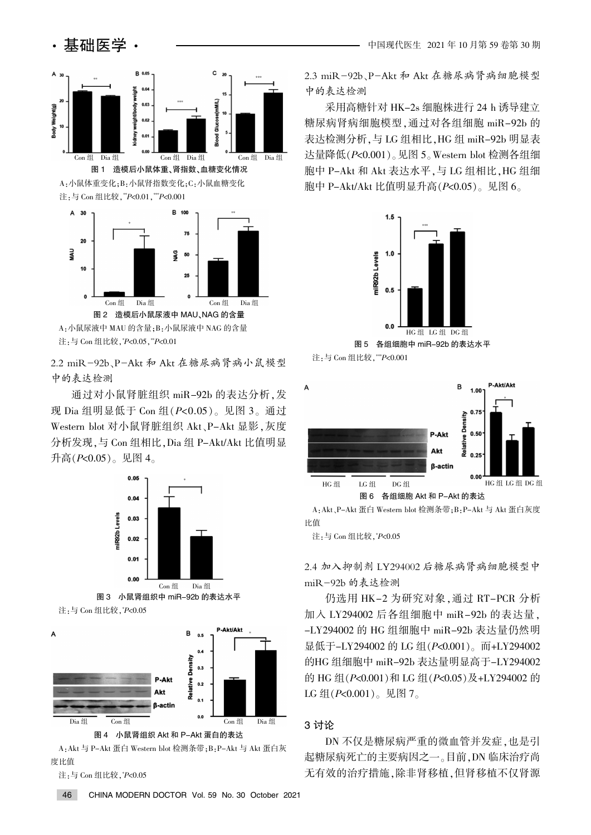

注: 与 Con 组比较 , \*P<0.05 , \*\*P<0.01

2.2 miR-92b、P-Akt 和 Akt 在糖尿病肾病小鼠模型 中的表达检测

通过对小鼠肾脏组织 miR-92b 的表达分析, 发 现 Dia 组明显低于 Con 组 $(P< 0.05)$ 。见图 3。通过 Western blot 对小鼠肾脏组织 Akt、P-Akt 显影, 灰度 分析发现,与 Con 组相比, Dia 组 P-Akt/Akt 比值明显 升高 $(P< 0.05)$ 。见图 4。



A · Akt 与 P-Akt 蛋白 Western blot 检测条带 : B · P-Akt 与 Akt 蛋白灰 度比值

注<sub>:</sub>与 Con 组比较 , \**P<*0.05

2.3 miR-92b、P-Akt 和 Akt 在糖尿病肾病细胞模型 中的表达检测

采用高糖针对 HK-2s 细胞株进行 24 h 诱导建立 糖尿病肾病细胞模型,通过对各组细胞 miR-92b 的 表达检测分析,与 LG 组相比, HG 组 miR-92b 明显表 达量降低 $(P< 0.001)$ 。见图 5。Western blot 检测各组细 胞中 P-Akt 和 Akt 表达水平, 与 LG 组相比, HG 组细 胞中 P-Akt/Akt 比值明显升高 $(P< 0.05)$ 。见图 6。









A: Akt 、P-Akt 蛋白 Western blot 检测条带: B: P-Akt 与 Akt 蛋白灰度 比值

注<sub>:</sub>与 Con 组比较 , \**P*<0.05

2.4 加入抑制剂 LY294002 后糖尿病肾病细胞模型中 miR-92b 的表达检测

仍选用 HK-2 为研究对象, 通过 RT-PCR 分析 加入 LY294002 后各组细胞中 miR-92b 的表达量。 -LY294002 的 HG 组细胞中 miR-92b 表达量仍然明 显低于-LY294002 的 LG 组(P<0.001)。而+LY294002 的HG 组细胞中 miR-92b 表达量明显高于-LY294002 的 HG 组( $P$ <0.001)和 LG 组( $P$ <0.05)及+LY294002 的 LG 组 $(P< 0.001)$ 。见图 7。

#### 3 讨论

DN 不仅是糖尿病严重的微血管并发症,也是引 起糖尿病死亡的主要病因之一。目前,DN 临床治疗尚 无有效的治疗措施,除非肾移植,但肾移植不仅肾源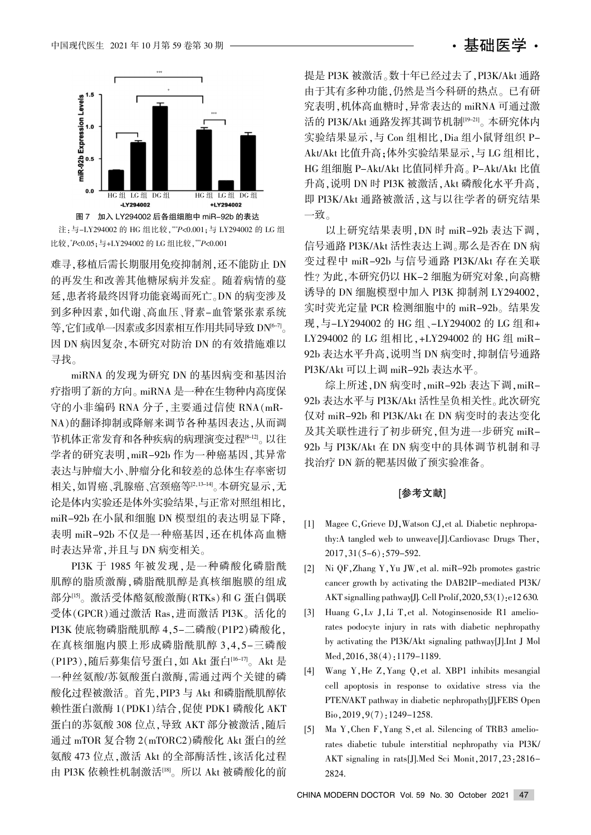# • 基础医学 •



注:与-LY294002 的 HG 组比较, \*\*\*P<0.001; 与 LY294002 的 LG 组 比较,\*P<0.05;与+LY294002 的 LG 组比较,\*\*P<0.001

难寻,移植后需长期服用免疫抑制剂,还不能防止 DN 的再发生和改善其他糖尿病并发症。随着病情的蔓 延,患者将最终因肾功能衰竭而死亡。DN 的病变涉及 到多种因素,如代谢、高血压、肾素-血管紧张素系统 等, 它们或单一因素或多因素相互作用共同导致 DN<sup>6-7</sup>。 因 DN 病因复杂,本研究对防治 DN 的有效措施难以 寻找。

miRNA 的发现为研究 DN 的基因病变和基因治 疗指明了新的方向。miRNA 是一种在生物种内高度保 守的小非编码 RNA 分子,主要通过信使 RNA (mR-NA)的翻译抑制或降解来调节各种基因表达, 从而调 节机体正常发育和各种疾病的病理演变过程[8-12]。以往 学者的研究表明, miR-92b 作为一种癌基因, 其异常 表达与肿瘤大小、肿瘤分化和较差的总体生存率密切 相关,如胃癌、乳腺癌、宫颈癌等[2,13-14]。本研究显示,无 论是体内实验还是体外实验结果,与正常对照组相比, miR-92b 在小鼠和细胞 DN 模型组的表达明显下降。 表明 miR-92b 不仅是一种癌基因, 还在机体高血糖 时表达异常,并且与 DN 病变相关。

PI3K 于 1985 年被发现, 是一种磷酸化磷脂酰 肌醇的脂质激酶,磷脂酰肌醇是真核细胞膜的组成 部分[15]。激活受体酪氨酸激酶(RTKs)和 G 蛋白偶联  $\mathfrak{F}$ 体(GPCR)通过激活 Ras.进而激活 PI3K。活化的 PI3K 使底物磷脂酰肌醇 4,5-二磷酸(P1P2)磷酸化, 在真核细胞内膜上形成磷脂酰肌醇 3,4,5-三磷酸 (P1P3), 随后募集信号蛋白, 如 Akt 蛋白[16-17]。 Akt 是 一种丝氨酸/苏氨酸蛋白激酶,需通过两个关键的磷 酸化过程被激活。首先, PIP3 与 Akt 和磷脂酰肌醇依 赖性蛋白激酶 1(PDK1)结合,促使 PDK1 磷酸化 AKT 蛋白的苏氨酸 308 位点, 导致 AKT 部分被激活, 随后 通过 mTOR 复合物 2(mTORC2)磷酸化 Akt 蛋白的丝 氨酸 473 位点, 激活 Akt 的全部酶活性, 该活化过程 由 PI3K 依赖性机制激活[18]。所以 Akt 被磷酸化的前

提是 PI3K 被激活。数十年已经过去了, PI3K/Akt 通路 由于其有多种功能,仍然是当今科研的热点。已有研 究表明,机体高血糖时,异常表达的 miRNA 可通过激 活的 PI3K/Akt 通路发挥其调节机制<sup>[19-21]</sup>。本研究体内 实验结果显示,与 Con 组相比, Dia 组小鼠肾组织 P-Akt/Akt 比值升高;体外实验结果显示,与 LG 组相比, HG 组细胞 P-Akt/Akt 比值同样升高。P-Akt/Akt 比值 升高, 说明 DN 时 PI3K 被激活, Akt 磷酸化水平升高, 即 PI3K/Akt 通路被激活,这与以往学者的研究结果 一致。

以上研究结果表明, DN 时 miR-92b 表达下调, 信号通路 PI3K/Akt 活性表达上调。那么是否在 DN 病 变过程中 miR-92b 与信号通路 PI3K/Akt 存在关联 性?为此,本研究仍以 HK-2 细胞为研究对象,向高糖 诱导的 DN 细胞模型中加入 PI3K 抑制剂 LY294002. 实时荧光定量 PCR 检测细胞中的 miR-92b。结果发 现,与-LY294002 的 HG 组、-LY294002 的 LG 组和+ LY294002 的 LG 组相比, +LY294002 的 HG 组 miR-92b 表达水平升高, 说明当 DN 病变时, 抑制信号通路 PI3K/Akt 可以上调 miR-92b 表达水平。

综上所述, DN 病变时, miR-92b 表达下调, miR-92b 表达水平与 PI3K/Akt 活性呈负相关性。此次研究 仅对 miR-92b 和 PI3K/Akt 在 DN 病变时的表达变化 及其关联性进行了初步研究,但为进一步研究 miR-92b 与 PI3K/Akt 在 DN 病变中的具体调节机制和寻 找治疗 DN 新的靶基因做了预实验准备。

#### [参考文献]

- [1] Magee C, Grieve DJ, Watson CJ, et al. Diabetic nephropathy:A tangled web to unweave[J].Cardiovasc Drugs Ther,  $2017, 31(5-6)$ : 579-592.
- [2] Ni QF, Zhang Y, Yu JW, et al. miR-92b promotes gastric cancer growth by activating the DAB2IP-mediated PI3K/ AKT signalling pathway[J]. Cell Prolif,  $2020, 53(1)$ : e12 630.
- [3] Huang G, Lv J, Li T, et al. Notoginsenoside R1 ameliorates podocyte injury in rats with diabetic nephropathy by activating the PI3K/Akt signaling pathway[J].Int J Mol  $Med, 2016, 38(4); 1179-1189.$
- [4] Wang Y, He Z, Yang Q, et al. XBP1 inhibits mesangial cell apoptosis in response to oxidative stress via the PTEN/AKT pathway in diabetic nephropathy[J].FEBS Open  $Bio, 2019, 9(7)$ : 1249-1258.
- [5] Ma Y, Chen F, Yang S, et al. Silencing of TRB3 ameliorates diabetic tubule interstitial nephropathy via PI3K/ AKT signaling in rats[J].Med Sci Monit, 2017, 23:2816-2824.